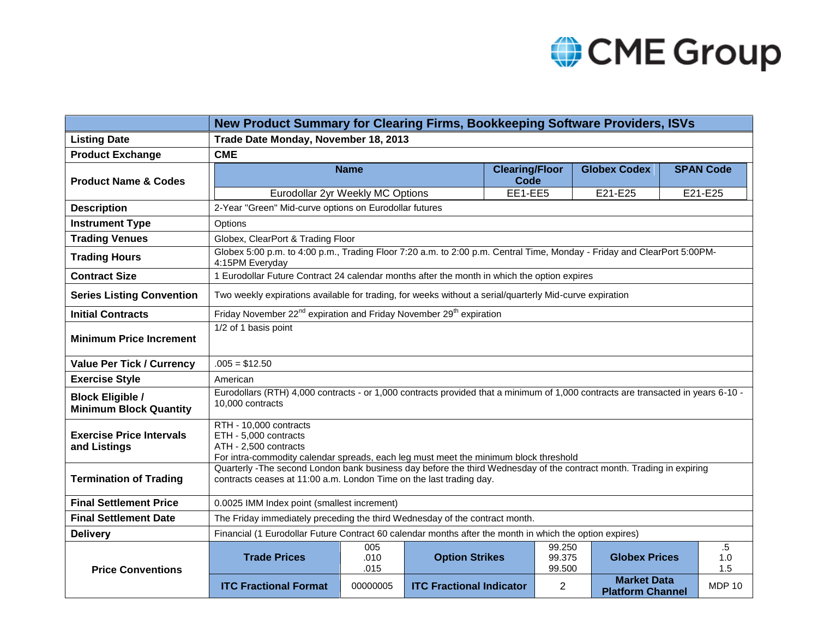

| New Product Summary for Clearing Firms, Bookkeeping Software Providers, ISVs |                                                                                                                                                                                             |                     |                                 |                               |                            |                                               |  |                      |
|------------------------------------------------------------------------------|---------------------------------------------------------------------------------------------------------------------------------------------------------------------------------------------|---------------------|---------------------------------|-------------------------------|----------------------------|-----------------------------------------------|--|----------------------|
| <b>Listing Date</b>                                                          | Trade Date Monday, November 18, 2013                                                                                                                                                        |                     |                                 |                               |                            |                                               |  |                      |
| <b>Product Exchange</b>                                                      | <b>CME</b>                                                                                                                                                                                  |                     |                                 |                               |                            |                                               |  |                      |
| <b>Product Name &amp; Codes</b>                                              |                                                                                                                                                                                             | <b>Name</b>         |                                 | <b>Clearing/Floor</b><br>Code |                            | <b>Globex Codex</b>                           |  | <b>SPAN Code</b>     |
|                                                                              | Eurodollar 2yr Weekly MC Options                                                                                                                                                            |                     |                                 | EE1-EE5                       |                            | E21-E25                                       |  | E21-E25              |
| <b>Description</b>                                                           | 2-Year "Green" Mid-curve options on Eurodollar futures                                                                                                                                      |                     |                                 |                               |                            |                                               |  |                      |
| <b>Instrument Type</b>                                                       | Options                                                                                                                                                                                     |                     |                                 |                               |                            |                                               |  |                      |
| <b>Trading Venues</b>                                                        | Globex, ClearPort & Trading Floor                                                                                                                                                           |                     |                                 |                               |                            |                                               |  |                      |
| <b>Trading Hours</b>                                                         | Globex 5:00 p.m. to 4:00 p.m., Trading Floor 7:20 a.m. to 2:00 p.m. Central Time, Monday - Friday and ClearPort 5:00PM-<br>4:15PM Everyday                                                  |                     |                                 |                               |                            |                                               |  |                      |
| <b>Contract Size</b>                                                         | 1 Eurodollar Future Contract 24 calendar months after the month in which the option expires                                                                                                 |                     |                                 |                               |                            |                                               |  |                      |
| <b>Series Listing Convention</b>                                             | Two weekly expirations available for trading, for weeks without a serial/quarterly Mid-curve expiration                                                                                     |                     |                                 |                               |                            |                                               |  |                      |
| <b>Initial Contracts</b>                                                     | Friday November 22 <sup>nd</sup> expiration and Friday November 29 <sup>th</sup> expiration                                                                                                 |                     |                                 |                               |                            |                                               |  |                      |
| <b>Minimum Price Increment</b>                                               | 1/2 of 1 basis point                                                                                                                                                                        |                     |                                 |                               |                            |                                               |  |                      |
| <b>Value Per Tick / Currency</b>                                             | $.005 = $12.50$                                                                                                                                                                             |                     |                                 |                               |                            |                                               |  |                      |
| <b>Exercise Style</b>                                                        | American                                                                                                                                                                                    |                     |                                 |                               |                            |                                               |  |                      |
| <b>Block Eligible /</b><br><b>Minimum Block Quantity</b>                     | Eurodollars (RTH) 4,000 contracts - or 1,000 contracts provided that a minimum of 1,000 contracts are transacted in years 6-10 -<br>10,000 contracts                                        |                     |                                 |                               |                            |                                               |  |                      |
| <b>Exercise Price Intervals</b><br>and Listings                              | RTH - 10.000 contracts<br>ETH - 5,000 contracts<br>ATH - 2,500 contracts<br>For intra-commodity calendar spreads, each leg must meet the minimum block threshold                            |                     |                                 |                               |                            |                                               |  |                      |
| <b>Termination of Trading</b>                                                | Quarterly -The second London bank business day before the third Wednesday of the contract month. Trading in expiring<br>contracts ceases at 11:00 a.m. London Time on the last trading day. |                     |                                 |                               |                            |                                               |  |                      |
| <b>Final Settlement Price</b>                                                | 0.0025 IMM Index point (smallest increment)                                                                                                                                                 |                     |                                 |                               |                            |                                               |  |                      |
| <b>Final Settlement Date</b>                                                 | The Friday immediately preceding the third Wednesday of the contract month.                                                                                                                 |                     |                                 |                               |                            |                                               |  |                      |
| <b>Delivery</b>                                                              | Financial (1 Eurodollar Future Contract 60 calendar months after the month in which the option expires)                                                                                     |                     |                                 |                               |                            |                                               |  |                      |
| <b>Price Conventions</b>                                                     | <b>Trade Prices</b>                                                                                                                                                                         | 005<br>.010<br>.015 | <b>Option Strikes</b>           |                               | 99.250<br>99.375<br>99.500 | <b>Globex Prices</b>                          |  | $.5\,$<br>1.0<br>1.5 |
|                                                                              | <b>ITC Fractional Format</b>                                                                                                                                                                | 00000005            | <b>ITC Fractional Indicator</b> |                               | 2                          | <b>Market Data</b><br><b>Platform Channel</b> |  | <b>MDP 10</b>        |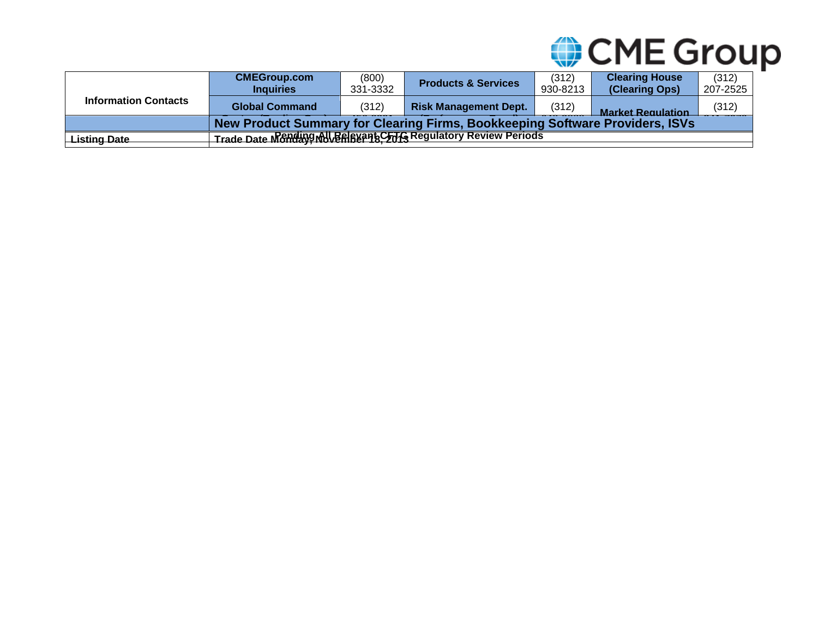

|                             | <b>CMEGroup.com</b><br><b>Inquiries</b>                                      | (800)<br>331-3332 | <b>Products &amp; Services</b> | (312)<br>930-8213 | <b>Clearing House</b><br>(Clearing Ops) | (312)<br>207-2525 |  |  |
|-----------------------------|------------------------------------------------------------------------------|-------------------|--------------------------------|-------------------|-----------------------------------------|-------------------|--|--|
| <b>Information Contacts</b> | <b>Global Command</b>                                                        | (312)             | <b>Risk Management Dept.</b>   | (312)             | <b>Market Requisition</b>               | (312)             |  |  |
|                             | New Product Summary for Clearing Firms, Bookkeeping Software Providers, ISVs |                   |                                |                   |                                         |                   |  |  |
| Listing Date                | Trade Date Mchding MILBARY 245 Regulatory Review Periods                     |                   |                                |                   |                                         |                   |  |  |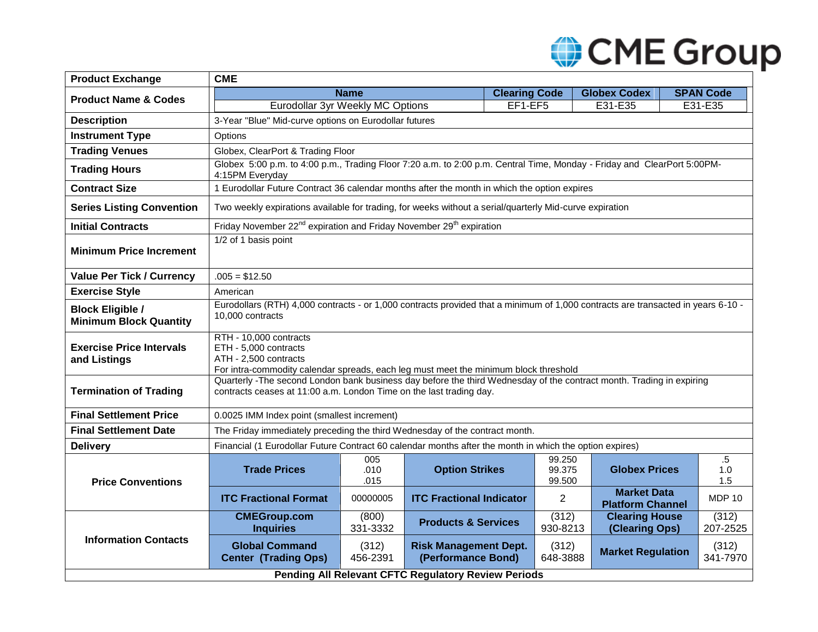# CME Group

| <b>Product Exchange</b>                                  | <b>CME</b>                                                                                                                                                                                  |                     |                                                    |                      |                            |                                               |  |                      |  |
|----------------------------------------------------------|---------------------------------------------------------------------------------------------------------------------------------------------------------------------------------------------|---------------------|----------------------------------------------------|----------------------|----------------------------|-----------------------------------------------|--|----------------------|--|
| <b>Product Name &amp; Codes</b>                          |                                                                                                                                                                                             | <b>Name</b>         |                                                    | <b>Clearing Code</b> |                            | <b>Globex Codex</b>                           |  | <b>SPAN Code</b>     |  |
|                                                          | Eurodollar 3yr Weekly MC Options                                                                                                                                                            |                     |                                                    | EF1-EF5              |                            | E31-E35                                       |  | E31-E35              |  |
| <b>Description</b>                                       | 3-Year "Blue" Mid-curve options on Eurodollar futures                                                                                                                                       |                     |                                                    |                      |                            |                                               |  |                      |  |
| <b>Instrument Type</b>                                   | Options                                                                                                                                                                                     |                     |                                                    |                      |                            |                                               |  |                      |  |
| <b>Trading Venues</b>                                    | Globex, ClearPort & Trading Floor                                                                                                                                                           |                     |                                                    |                      |                            |                                               |  |                      |  |
| <b>Trading Hours</b>                                     | Globex 5:00 p.m. to 4:00 p.m., Trading Floor 7:20 a.m. to 2:00 p.m. Central Time, Monday - Friday and ClearPort 5:00PM-<br>4:15PM Everyday                                                  |                     |                                                    |                      |                            |                                               |  |                      |  |
| <b>Contract Size</b>                                     | 1 Eurodollar Future Contract 36 calendar months after the month in which the option expires                                                                                                 |                     |                                                    |                      |                            |                                               |  |                      |  |
| <b>Series Listing Convention</b>                         | Two weekly expirations available for trading, for weeks without a serial/quarterly Mid-curve expiration                                                                                     |                     |                                                    |                      |                            |                                               |  |                      |  |
| <b>Initial Contracts</b>                                 | Friday November 22 <sup>nd</sup> expiration and Friday November 29 <sup>th</sup> expiration                                                                                                 |                     |                                                    |                      |                            |                                               |  |                      |  |
| <b>Minimum Price Increment</b>                           | 1/2 of 1 basis point                                                                                                                                                                        |                     |                                                    |                      |                            |                                               |  |                      |  |
| <b>Value Per Tick / Currency</b>                         | $.005 = $12.50$                                                                                                                                                                             |                     |                                                    |                      |                            |                                               |  |                      |  |
| <b>Exercise Style</b>                                    | American                                                                                                                                                                                    |                     |                                                    |                      |                            |                                               |  |                      |  |
| <b>Block Eligible /</b><br><b>Minimum Block Quantity</b> | Eurodollars (RTH) 4,000 contracts - or 1,000 contracts provided that a minimum of 1,000 contracts are transacted in years 6-10 -<br>10,000 contracts                                        |                     |                                                    |                      |                            |                                               |  |                      |  |
| <b>Exercise Price Intervals</b><br>and Listings          | RTH - 10,000 contracts<br>ETH - 5,000 contracts<br>ATH - 2,500 contracts<br>For intra-commodity calendar spreads, each leg must meet the minimum block threshold                            |                     |                                                    |                      |                            |                                               |  |                      |  |
| <b>Termination of Trading</b>                            | Quarterly -The second London bank business day before the third Wednesday of the contract month. Trading in expiring<br>contracts ceases at 11:00 a.m. London Time on the last trading day. |                     |                                                    |                      |                            |                                               |  |                      |  |
| <b>Final Settlement Price</b>                            | 0.0025 IMM Index point (smallest increment)                                                                                                                                                 |                     |                                                    |                      |                            |                                               |  |                      |  |
| <b>Final Settlement Date</b>                             | The Friday immediately preceding the third Wednesday of the contract month.                                                                                                                 |                     |                                                    |                      |                            |                                               |  |                      |  |
| <b>Delivery</b>                                          | Financial (1 Eurodollar Future Contract 60 calendar months after the month in which the option expires)                                                                                     |                     |                                                    |                      |                            |                                               |  |                      |  |
| <b>Price Conventions</b>                                 | <b>Trade Prices</b>                                                                                                                                                                         | 005<br>.010<br>.015 | <b>Option Strikes</b>                              |                      | 99.250<br>99.375<br>99.500 | <b>Globex Prices</b>                          |  | $.5\,$<br>1.0<br>1.5 |  |
|                                                          | <b>ITC Fractional Format</b>                                                                                                                                                                | 00000005            | <b>ITC Fractional Indicator</b>                    |                      | 2                          | <b>Market Data</b><br><b>Platform Channel</b> |  | <b>MDP 10</b>        |  |
|                                                          | <b>CMEGroup.com</b><br><b>Inquiries</b>                                                                                                                                                     | (800)<br>331-3332   | <b>Products &amp; Services</b>                     |                      | (312)<br>930-8213          | <b>Clearing House</b><br>(Clearing Ops)       |  | (312)<br>207-2525    |  |
| <b>Information Contacts</b>                              | <b>Global Command</b><br><b>Center (Trading Ops)</b>                                                                                                                                        | (312)<br>456-2391   | <b>Risk Management Dept.</b><br>(Performance Bond) |                      | (312)<br>648-3888          | <b>Market Regulation</b>                      |  | (312)<br>341-7970    |  |
| Pending All Relevant CFTC Regulatory Review Periods      |                                                                                                                                                                                             |                     |                                                    |                      |                            |                                               |  |                      |  |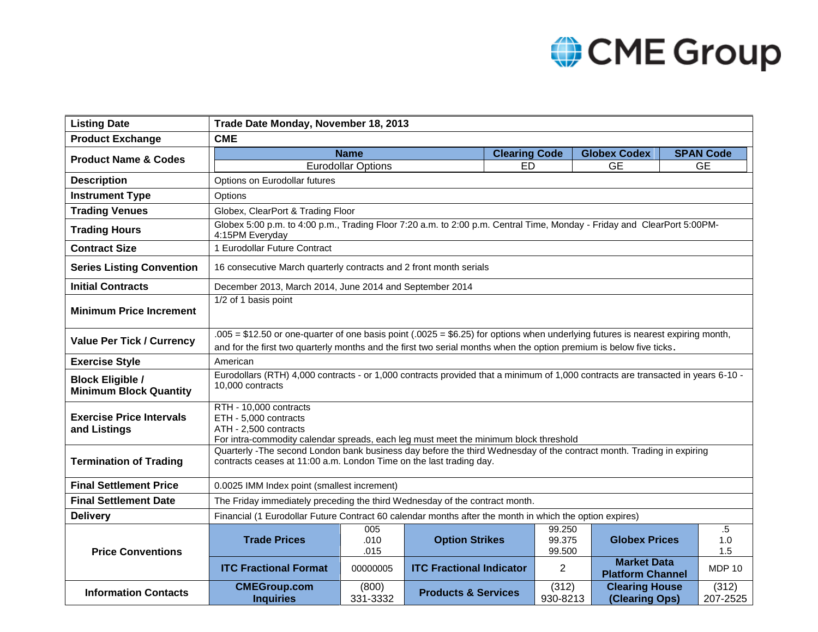## CME Group

| <b>Listing Date</b>                                      | Trade Date Monday, November 18, 2013                                                                                                                                                        |                                                                                      |                                 |                      |                   |                                               |  |                   |  |  |
|----------------------------------------------------------|---------------------------------------------------------------------------------------------------------------------------------------------------------------------------------------------|--------------------------------------------------------------------------------------|---------------------------------|----------------------|-------------------|-----------------------------------------------|--|-------------------|--|--|
| <b>Product Exchange</b>                                  | <b>CME</b>                                                                                                                                                                                  |                                                                                      |                                 |                      |                   |                                               |  |                   |  |  |
| <b>Product Name &amp; Codes</b>                          |                                                                                                                                                                                             | <b>Name</b>                                                                          |                                 | <b>Clearing Code</b> |                   | <b>Globex Codex</b>                           |  | <b>SPAN Code</b>  |  |  |
|                                                          |                                                                                                                                                                                             | <b>Eurodollar Options</b>                                                            |                                 | <b>ED</b>            |                   | <b>GE</b>                                     |  | <b>GE</b>         |  |  |
| <b>Description</b>                                       | Options on Eurodollar futures                                                                                                                                                               |                                                                                      |                                 |                      |                   |                                               |  |                   |  |  |
| <b>Instrument Type</b>                                   | Options                                                                                                                                                                                     |                                                                                      |                                 |                      |                   |                                               |  |                   |  |  |
| <b>Trading Venues</b>                                    | Globex, ClearPort & Trading Floor                                                                                                                                                           |                                                                                      |                                 |                      |                   |                                               |  |                   |  |  |
| <b>Trading Hours</b>                                     | Globex 5:00 p.m. to 4:00 p.m., Trading Floor 7:20 a.m. to 2:00 p.m. Central Time, Monday - Friday and ClearPort 5:00PM-<br>4:15PM Everyday                                                  |                                                                                      |                                 |                      |                   |                                               |  |                   |  |  |
| <b>Contract Size</b>                                     | 1 Eurodollar Future Contract                                                                                                                                                                |                                                                                      |                                 |                      |                   |                                               |  |                   |  |  |
| <b>Series Listing Convention</b>                         |                                                                                                                                                                                             | 16 consecutive March quarterly contracts and 2 front month serials                   |                                 |                      |                   |                                               |  |                   |  |  |
| <b>Initial Contracts</b>                                 | December 2013, March 2014, June 2014 and September 2014                                                                                                                                     |                                                                                      |                                 |                      |                   |                                               |  |                   |  |  |
| <b>Minimum Price Increment</b>                           | 1/2 of 1 basis point                                                                                                                                                                        |                                                                                      |                                 |                      |                   |                                               |  |                   |  |  |
|                                                          |                                                                                                                                                                                             |                                                                                      |                                 |                      |                   |                                               |  |                   |  |  |
| <b>Value Per Tick / Currency</b>                         | $.005 = $12.50$ or one-quarter of one basis point $(.0025 = $6.25)$ for options when underlying futures is nearest expiring month,                                                          |                                                                                      |                                 |                      |                   |                                               |  |                   |  |  |
|                                                          | and for the first two quarterly months and the first two serial months when the option premium is below five ticks.                                                                         |                                                                                      |                                 |                      |                   |                                               |  |                   |  |  |
| <b>Exercise Style</b>                                    | American<br>Eurodollars (RTH) 4,000 contracts - or 1,000 contracts provided that a minimum of 1,000 contracts are transacted in years 6-10 -                                                |                                                                                      |                                 |                      |                   |                                               |  |                   |  |  |
| <b>Block Eligible /</b><br><b>Minimum Block Quantity</b> | 10,000 contracts                                                                                                                                                                            |                                                                                      |                                 |                      |                   |                                               |  |                   |  |  |
| <b>Exercise Price Intervals</b>                          | RTH - 10,000 contracts<br>ETH - 5,000 contracts                                                                                                                                             |                                                                                      |                                 |                      |                   |                                               |  |                   |  |  |
| and Listings                                             | ATH - 2,500 contracts                                                                                                                                                                       |                                                                                      |                                 |                      |                   |                                               |  |                   |  |  |
|                                                          |                                                                                                                                                                                             | For intra-commodity calendar spreads, each leg must meet the minimum block threshold |                                 |                      |                   |                                               |  |                   |  |  |
| <b>Termination of Trading</b>                            | Quarterly -The second London bank business day before the third Wednesday of the contract month. Trading in expiring<br>contracts ceases at 11:00 a.m. London Time on the last trading day. |                                                                                      |                                 |                      |                   |                                               |  |                   |  |  |
| <b>Final Settlement Price</b>                            | 0.0025 IMM Index point (smallest increment)                                                                                                                                                 |                                                                                      |                                 |                      |                   |                                               |  |                   |  |  |
| <b>Final Settlement Date</b>                             | The Friday immediately preceding the third Wednesday of the contract month.                                                                                                                 |                                                                                      |                                 |                      |                   |                                               |  |                   |  |  |
| <b>Delivery</b>                                          | Financial (1 Eurodollar Future Contract 60 calendar months after the month in which the option expires)                                                                                     |                                                                                      |                                 |                      |                   |                                               |  |                   |  |  |
|                                                          |                                                                                                                                                                                             | 005                                                                                  |                                 |                      | 99.250            |                                               |  | .5                |  |  |
| <b>Price Conventions</b>                                 | <b>Trade Prices</b>                                                                                                                                                                         | .010<br>.015                                                                         | <b>Option Strikes</b>           |                      | 99.375<br>99.500  | <b>Globex Prices</b>                          |  | 1.0<br>1.5        |  |  |
|                                                          | <b>ITC Fractional Format</b>                                                                                                                                                                | 00000005                                                                             | <b>ITC Fractional Indicator</b> |                      | 2                 | <b>Market Data</b><br><b>Platform Channel</b> |  | <b>MDP 10</b>     |  |  |
| <b>Information Contacts</b>                              | <b>CMEGroup.com</b><br><b>Inquiries</b>                                                                                                                                                     | (800)<br>331-3332                                                                    | <b>Products &amp; Services</b>  |                      | (312)<br>930-8213 | <b>Clearing House</b><br>(Clearing Ops)       |  | (312)<br>207-2525 |  |  |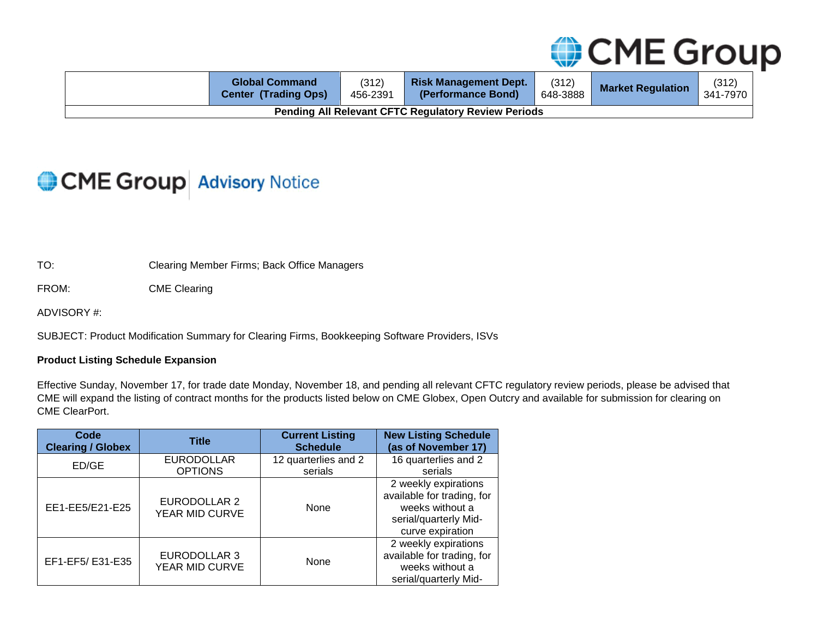

|                                                            | <b>Global Command</b><br><b>Center (Trading Ops)</b> | (312)<br>456-2391 | <b>Risk Management Dept.</b><br>(Performance Bond) | (312)<br>648-3888 | <b>Market Regulation</b> | (312)<br>341-7970 |
|------------------------------------------------------------|------------------------------------------------------|-------------------|----------------------------------------------------|-------------------|--------------------------|-------------------|
| <b>Pending All Relevant CFTC Regulatory Review Periods</b> |                                                      |                   |                                                    |                   |                          |                   |

## CME Group Advisory Notice

TO: Clearing Member Firms; Back Office Managers

FROM: CME Clearing

ADVISORY #:

SUBJECT: Product Modification Summary for Clearing Firms, Bookkeeping Software Providers, ISVs

### **Product Listing Schedule Expansion**

Effective Sunday, November 17, for trade date Monday, November 18, and pending all relevant CFTC regulatory review periods, please be advised that CME will expand the listing of contract months for the products listed below on CME Globex, Open Outcry and available for submission for clearing on CME ClearPort.

| Code                     | <b>Title</b>                   | <b>Current Listing</b> | <b>New Listing Schedule</b>                                                                                        |
|--------------------------|--------------------------------|------------------------|--------------------------------------------------------------------------------------------------------------------|
| <b>Clearing / Globex</b> |                                | <b>Schedule</b>        | (as of November 17)                                                                                                |
| ED/GE                    | <b>EURODOLLAR</b>              | 12 quarterlies and 2   | 16 quarterlies and 2                                                                                               |
|                          | <b>OPTIONS</b>                 | serials                | serials                                                                                                            |
| EE1-EE5/E21-E25          | EURODOLLAR 2<br>YEAR MID CURVE | None                   | 2 weekly expirations<br>available for trading, for<br>weeks without a<br>serial/quarterly Mid-<br>curve expiration |
| EF1-EF5/E31-E35          | EURODOLLAR 3<br>YEAR MID CURVE | None                   | 2 weekly expirations<br>available for trading, for<br>weeks without a<br>serial/quarterly Mid-                     |